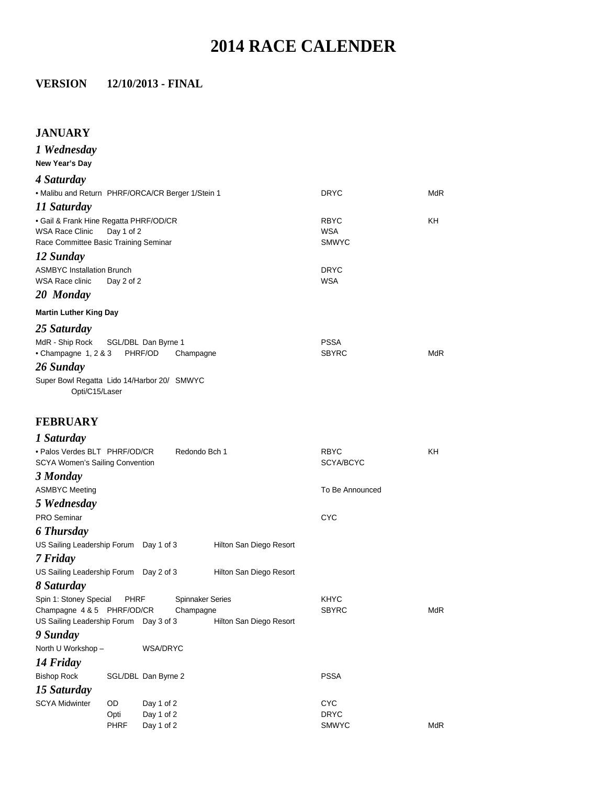# **2014 RACE CALENDER**

#### **VERSION 12/10/2013 - FINAL**

#### **JANUARY**

*1 Wednesday* **New Year's Day**  *4 Saturday*  • Malibu and Return PHRF/ORCA/CR Berger 1/Stein 1 DRYC DRYC *11 Saturday* • Gail & Frank Hine Regatta PHRF/OD/CR **RBYC** RBYC RBYC KH WSA Race Clinic Day 1 of 2 WSA Race Committee Basic Training Seminar Committee Basic Training Seminar Committee Basic Training Seminar Committee Basic Training Seminar Committee Seminar Committee Basic Training Seminar Com Race Committee Basic Training Seminar *12 Sunday* ASMBYC Installation Brunch **DRYC** WSA Race clinic Day 2 of 2 WSA *20 Monday*  **Martin Luther King Day**  *25 Saturday* MdR - Ship Rock SGL/DBL Dan Byrne 1 PSSA • Champagne 1, 2 & 3 PHRF/OD Champagne SBYRC SBYRC MdR *26 Sunday* Super Bowl Regatta Lido 14/Harbor 20/ SMWYC Opti/C15/Laser

## **FEBRUARY**  *1 Saturday*

| • Palos Verdes BLT PHRF/OD/CR<br>Redondo Bch 1<br>SCYA Women's Sailing Convention |             |                     |                         | <b>RBYC</b><br>SCYA/BCYC | KH         |
|-----------------------------------------------------------------------------------|-------------|---------------------|-------------------------|--------------------------|------------|
| 3 Monday                                                                          |             |                     |                         |                          |            |
| <b>ASMBYC Meeting</b>                                                             |             |                     |                         | To Be Announced          |            |
| 5 Wednesday                                                                       |             |                     |                         |                          |            |
| <b>PRO Seminar</b>                                                                |             |                     |                         | <b>CYC</b>               |            |
| 6 Thursday                                                                        |             |                     |                         |                          |            |
| US Sailing Leadership Forum Day 1 of 3                                            |             |                     | Hilton San Diego Resort |                          |            |
| 7 Friday                                                                          |             |                     |                         |                          |            |
| US Sailing Leadership Forum Day 2 of 3                                            |             |                     | Hilton San Diego Resort |                          |            |
| 8 Saturday                                                                        |             |                     |                         |                          |            |
| Spin 1: Stoney Special PHRF                                                       |             |                     | <b>Spinnaker Series</b> | <b>KHYC</b>              |            |
| Champagne 4 & 5 PHRF/OD/CR                                                        |             | Champagne           |                         | <b>SBYRC</b>             | <b>MdR</b> |
| US Sailing Leadership Forum Day 3 of 3                                            |             |                     | Hilton San Diego Resort |                          |            |
| 9 Sunday                                                                          |             |                     |                         |                          |            |
| North U Workshop -                                                                |             | WSA/DRYC            |                         |                          |            |
| 14 Friday                                                                         |             |                     |                         |                          |            |
| <b>Bishop Rock</b>                                                                |             | SGL/DBL Dan Byrne 2 |                         | <b>PSSA</b>              |            |
| 15 Saturday                                                                       |             |                     |                         |                          |            |
| <b>SCYA Midwinter</b>                                                             | <b>OD</b>   | Day 1 of 2          |                         | <b>CYC</b>               |            |
|                                                                                   | Opti        | Day 1 of 2          |                         | <b>DRYC</b>              |            |
|                                                                                   | <b>PHRF</b> | Day 1 of 2          |                         | <b>SMWYC</b>             | <b>MdR</b> |
|                                                                                   |             |                     |                         |                          |            |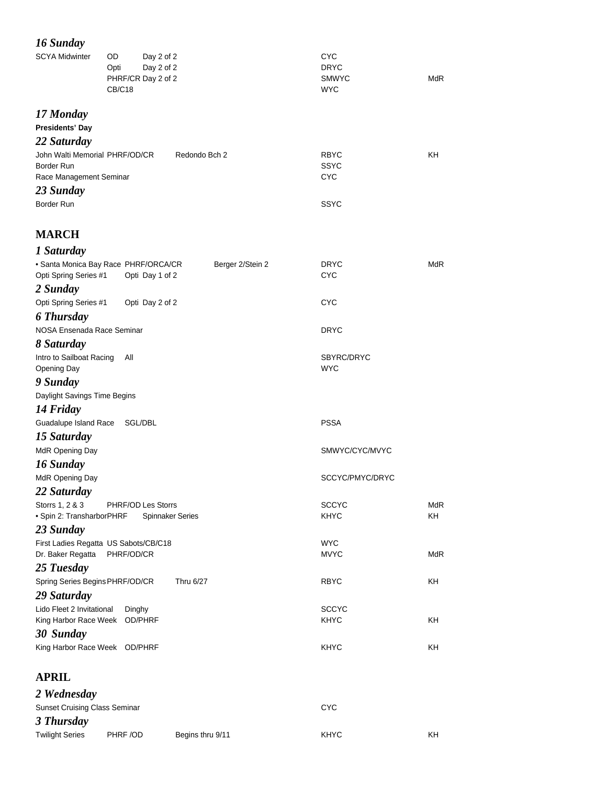# *16 Sunday*

| $10.0$ with $10.0$<br><b>SCYA Midwinter</b>        | OD<br>Day 2 of 2<br>Day 2 of 2<br>Opti<br>PHRF/CR Day 2 of 2<br>CB/C18      | <b>CYC</b><br><b>DRYC</b><br><b>SMWYC</b><br><b>WYC</b> | <b>MdR</b> |
|----------------------------------------------------|-----------------------------------------------------------------------------|---------------------------------------------------------|------------|
| 17 Monday<br><b>Presidents' Day</b>                |                                                                             |                                                         |            |
| 22 Saturday                                        |                                                                             |                                                         |            |
| John Walti Memorial PHRF/OD/CR                     | Redondo Bch 2                                                               | <b>RBYC</b>                                             | KH         |
| Border Run<br>Race Management Seminar              |                                                                             | <b>SSYC</b><br><b>CYC</b>                               |            |
| 23 Sunday                                          |                                                                             |                                                         |            |
| Border Run                                         |                                                                             | <b>SSYC</b>                                             |            |
|                                                    |                                                                             |                                                         |            |
| <b>MARCH</b>                                       |                                                                             |                                                         |            |
| 1 Saturday                                         |                                                                             |                                                         |            |
| Opti Spring Series #1                              | · Santa Monica Bay Race PHRF/ORCA/CR<br>Berger 2/Stein 2<br>Opti Day 1 of 2 | <b>DRYC</b><br>CYC                                      | <b>MdR</b> |
| 2 Sunday                                           |                                                                             |                                                         |            |
| Opti Spring Series #1                              | Opti Day 2 of 2                                                             | <b>CYC</b>                                              |            |
| <b>6 Thursday</b>                                  |                                                                             |                                                         |            |
| NOSA Ensenada Race Seminar                         |                                                                             | <b>DRYC</b>                                             |            |
| 8 Saturday                                         |                                                                             |                                                         |            |
| Intro to Sailboat Racing<br><b>Opening Day</b>     | All                                                                         | SBYRC/DRYC<br><b>WYC</b>                                |            |
| 9 Sunday                                           |                                                                             |                                                         |            |
| Daylight Savings Time Begins                       |                                                                             |                                                         |            |
| 14 Friday                                          |                                                                             |                                                         |            |
| Guadalupe Island Race                              | SGL/DBL                                                                     | <b>PSSA</b>                                             |            |
| 15 Saturday                                        |                                                                             |                                                         |            |
| MdR Opening Day                                    |                                                                             | SMWYC/CYC/MVYC                                          |            |
| 16 Sunday                                          |                                                                             |                                                         |            |
| MdR Opening Day                                    |                                                                             | SCCYC/PMYC/DRYC                                         |            |
| 22 Saturday                                        |                                                                             |                                                         |            |
| Storrs 1, 2 & 3                                    | PHRF/OD Les Storrs                                                          | <b>SCCYC</b>                                            | <b>MdR</b> |
| · Spin 2: TransharborPHRF                          | <b>Spinnaker Series</b>                                                     | KHYC                                                    | KH         |
| 23 Sunday<br>First Ladies Regatta US Sabots/CB/C18 |                                                                             | <b>WYC</b>                                              |            |
| Dr. Baker Regatta                                  | PHRF/OD/CR                                                                  | <b>MVYC</b>                                             | <b>MdR</b> |
| 25 Tuesday                                         |                                                                             |                                                         |            |
| Spring Series Begins PHRF/OD/CR                    | Thru 6/27                                                                   | <b>RBYC</b>                                             | KΗ         |
| 29 Saturday                                        |                                                                             |                                                         |            |
| Lido Fleet 2 Invitational                          | Dinghy                                                                      | <b>SCCYC</b>                                            |            |
| King Harbor Race Week OD/PHRF                      |                                                                             | <b>KHYC</b>                                             | KΗ         |
| 30 Sunday                                          |                                                                             |                                                         |            |
| King Harbor Race Week OD/PHRF                      |                                                                             | <b>KHYC</b>                                             | KΗ         |
| <b>APRIL</b>                                       |                                                                             |                                                         |            |
| 2 Wednesday                                        |                                                                             |                                                         |            |
| <b>Sunset Cruising Class Seminar</b>               |                                                                             | <b>CYC</b>                                              |            |
| 2Thundau                                           |                                                                             |                                                         |            |

*3 Thursday* Twilight Series PHRF /OD Begins thru 9/11 KHYC KHYC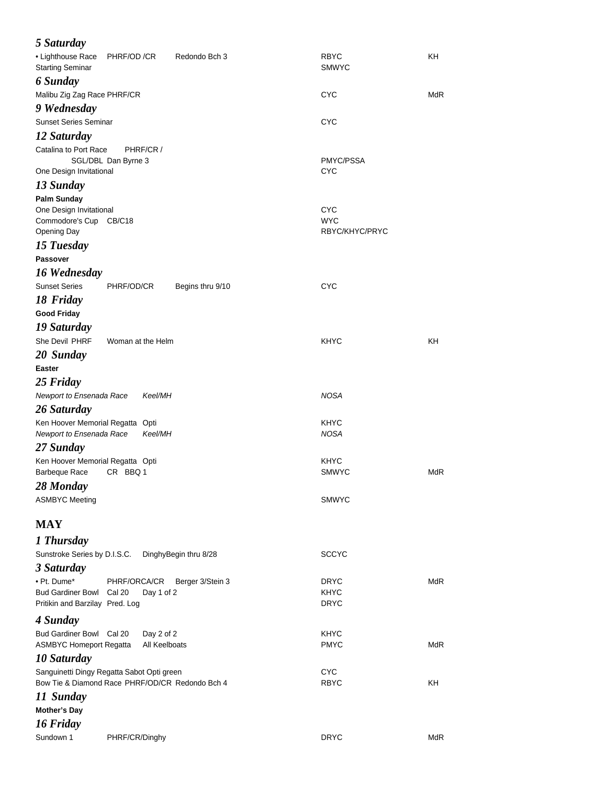| 5 Saturday                                                                             |                                                 |                       |                                            |            |
|----------------------------------------------------------------------------------------|-------------------------------------------------|-----------------------|--------------------------------------------|------------|
| • Lighthouse Race<br><b>Starting Seminar</b>                                           | PHRF/OD /CR                                     | Redondo Bch 3         | <b>RBYC</b><br><b>SMWYC</b>                | KH         |
| 6 Sunday                                                                               |                                                 |                       |                                            |            |
| Malibu Zig Zag Race PHRF/CR<br>9 Wednesday                                             |                                                 |                       | CYC                                        | MdR        |
| <b>Sunset Series Seminar</b>                                                           |                                                 |                       | <b>CYC</b>                                 |            |
| 12 Saturday                                                                            |                                                 |                       |                                            |            |
| Catalina to Port Race                                                                  | PHRF/CR /<br>SGL/DBL Dan Byrne 3                |                       | PMYC/PSSA                                  |            |
| One Design Invitational                                                                |                                                 |                       | <b>CYC</b>                                 |            |
| 13 Sunday                                                                              |                                                 |                       |                                            |            |
| <b>Palm Sunday</b><br>One Design Invitational<br>Commodore's Cup CB/C18<br>Opening Day |                                                 |                       | <b>CYC</b><br><b>WYC</b><br>RBYC/KHYC/PRYC |            |
| 15 Tuesday                                                                             |                                                 |                       |                                            |            |
| Passover                                                                               |                                                 |                       |                                            |            |
| 16 Wednesday                                                                           |                                                 |                       |                                            |            |
| <b>Sunset Series</b>                                                                   | PHRF/OD/CR                                      | Begins thru 9/10      | <b>CYC</b>                                 |            |
| 18 Friday                                                                              |                                                 |                       |                                            |            |
| <b>Good Friday</b>                                                                     |                                                 |                       |                                            |            |
| 19 Saturday<br>She Devil PHRF                                                          |                                                 |                       | <b>KHYC</b>                                | KH         |
|                                                                                        | Woman at the Helm                               |                       |                                            |            |
| 20 Sunday<br><b>Easter</b>                                                             |                                                 |                       |                                            |            |
| 25 Friday                                                                              |                                                 |                       |                                            |            |
| Newport to Ensenada Race                                                               | Keel/MH                                         |                       | NOSA                                       |            |
| 26 Saturday                                                                            |                                                 |                       |                                            |            |
| Ken Hoover Memorial Regatta Opti<br>Newport to Ensenada Race                           | Keel/MH                                         |                       | KHYC<br>NOSA                               |            |
| 27 Sunday                                                                              |                                                 |                       |                                            |            |
| Ken Hoover Memorial Regatta Opti<br>Barbeque Race                                      | CR BBQ 1                                        |                       | KHYC<br><b>SMWYC</b>                       | <b>MdR</b> |
| 28 Monday                                                                              |                                                 |                       |                                            |            |
| <b>ASMBYC Meeting</b>                                                                  |                                                 |                       | <b>SMWYC</b>                               |            |
| <b>MAY</b>                                                                             |                                                 |                       |                                            |            |
| 1 Thursday                                                                             |                                                 |                       |                                            |            |
| Sunstroke Series by D.I.S.C.<br>3 Saturday                                             |                                                 | DinghyBegin thru 8/28 | <b>SCCYC</b>                               |            |
| • Pt. Dume*                                                                            | PHRF/ORCA/CR                                    | Berger 3/Stein 3      | DRYC                                       | <b>MdR</b> |
| <b>Bud Gardiner Bowl</b><br>Pritikin and Barzilay Pred. Log                            | Cal 20<br>Day 1 of 2                            |                       | KHYC<br><b>DRYC</b>                        |            |
| 4 Sunday                                                                               |                                                 |                       |                                            |            |
| Bud Gardiner Bowl Cal 20<br><b>ASMBYC Homeport Regatta</b>                             | Day 2 of 2<br>All Keelboats                     |                       | KHYC<br><b>PMYC</b>                        | MdR        |
| 10 Saturday                                                                            |                                                 |                       |                                            |            |
| Sanguinetti Dingy Regatta Sabot Opti green                                             | Bow Tie & Diamond Race PHRF/OD/CR Redondo Bch 4 |                       | <b>CYC</b><br><b>RBYC</b>                  | KH         |
| 11 Sunday                                                                              |                                                 |                       |                                            |            |
| <b>Mother's Day</b>                                                                    |                                                 |                       |                                            |            |
| 16 Friday                                                                              |                                                 |                       |                                            |            |
| Sundown 1                                                                              | PHRF/CR/Dinghy                                  |                       | <b>DRYC</b>                                | <b>MdR</b> |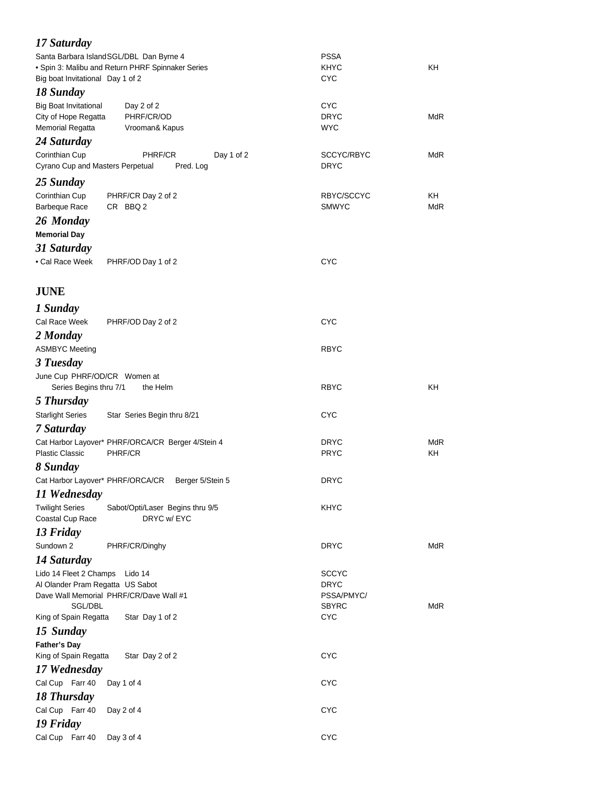| 17 Saturday                                  |                                                   |                           |            |
|----------------------------------------------|---------------------------------------------------|---------------------------|------------|
|                                              | Santa Barbara Island SGL/DBL Dan Byrne 4          | <b>PSSA</b>               |            |
|                                              | · Spin 3: Malibu and Return PHRF Spinnaker Series | <b>KHYC</b>               | KH         |
| Big boat Invitational Day 1 of 2             |                                                   | <b>CYC</b>                |            |
| 18 Sunday                                    |                                                   |                           |            |
| <b>Big Boat Invitational</b>                 | Day 2 of 2                                        | <b>CYC</b><br><b>DRYC</b> | <b>MdR</b> |
| City of Hope Regatta<br>Memorial Regatta     | PHRF/CR/OD<br>Vrooman& Kapus                      | <b>WYC</b>                |            |
| 24 Saturday                                  |                                                   |                           |            |
| Corinthian Cup                               | PHRF/CR<br>Day 1 of 2                             | SCCYC/RBYC                | MdR        |
| Cyrano Cup and Masters Perpetual             | Pred. Log                                         | <b>DRYC</b>               |            |
| 25 Sunday                                    |                                                   |                           |            |
| Corinthian Cup                               | PHRF/CR Day 2 of 2                                | RBYC/SCCYC                | KH         |
| <b>Barbeque Race</b>                         | CR BBQ 2                                          | <b>SMWYC</b>              | MdR        |
| 26 Monday                                    |                                                   |                           |            |
| <b>Memorial Day</b>                          |                                                   |                           |            |
| 31 Saturday                                  |                                                   |                           |            |
| • Cal Race Week                              | PHRF/OD Day 1 of 2                                | <b>CYC</b>                |            |
|                                              |                                                   |                           |            |
| <b>JUNE</b>                                  |                                                   |                           |            |
| 1 Sunday                                     |                                                   |                           |            |
| Cal Race Week                                | PHRF/OD Day 2 of 2                                | <b>CYC</b>                |            |
| 2 Monday                                     |                                                   |                           |            |
| <b>ASMBYC Meeting</b>                        |                                                   | <b>RBYC</b>               |            |
| 3 Tuesday                                    |                                                   |                           |            |
| June Cup PHRF/OD/CR Women at                 |                                                   |                           |            |
| Series Begins thru 7/1                       | the Helm                                          | <b>RBYC</b>               | KH         |
| 5 Thursday                                   |                                                   |                           |            |
| <b>Starlight Series</b>                      | Star Series Begin thru 8/21                       | <b>CYC</b>                |            |
| 7 Saturday                                   |                                                   |                           |            |
|                                              | Cat Harbor Layover* PHRF/ORCA/CR Berger 4/Stein 4 | <b>DRYC</b>               | <b>MdR</b> |
| <b>Plastic Classic</b>                       | PHRF/CR                                           | <b>PRYC</b>               | KH         |
| 8 Sunday                                     |                                                   |                           |            |
|                                              | Cat Harbor Layover* PHRF/ORCA/CR Berger 5/Stein 5 | <b>DRYC</b>               |            |
| 11 Wednesday                                 |                                                   |                           |            |
| <b>Twilight Series</b><br>Coastal Cup Race   | Sabot/Opti/Laser Begins thru 9/5<br>DRYC w/EYC    | <b>KHYC</b>               |            |
| 13 Friday                                    |                                                   |                           |            |
| Sundown 2                                    | PHRF/CR/Dinghy                                    | <b>DRYC</b>               | <b>MdR</b> |
| 14 Saturday                                  |                                                   |                           |            |
| Lido 14 Fleet 2 Champs                       | Lido 14                                           | <b>SCCYC</b>              |            |
| Al Olander Pram Regatta US Sabot             |                                                   | <b>DRYC</b>               |            |
|                                              | Dave Wall Memorial PHRF/CR/Dave Wall #1           | PSSA/PMYC/                |            |
| SGL/DBL                                      |                                                   | <b>SBYRC</b>              | <b>MdR</b> |
| King of Spain Regatta                        | Star Day 1 of 2                                   | <b>CYC</b>                |            |
| 15 Sunday                                    |                                                   |                           |            |
| <b>Father's Day</b><br>King of Spain Regatta | Star Day 2 of 2                                   | <b>CYC</b>                |            |
| 17 Wednesday                                 |                                                   |                           |            |
| Cal Cup Farr 40                              | Day 1 of 4                                        | <b>CYC</b>                |            |
| 18 Thursday                                  |                                                   |                           |            |
| Cal Cup Farr 40                              | Day 2 of 4                                        | <b>CYC</b>                |            |
| 19 Friday                                    |                                                   |                           |            |
| Cal Cup Farr 40                              | <b>CYC</b>                                        |                           |            |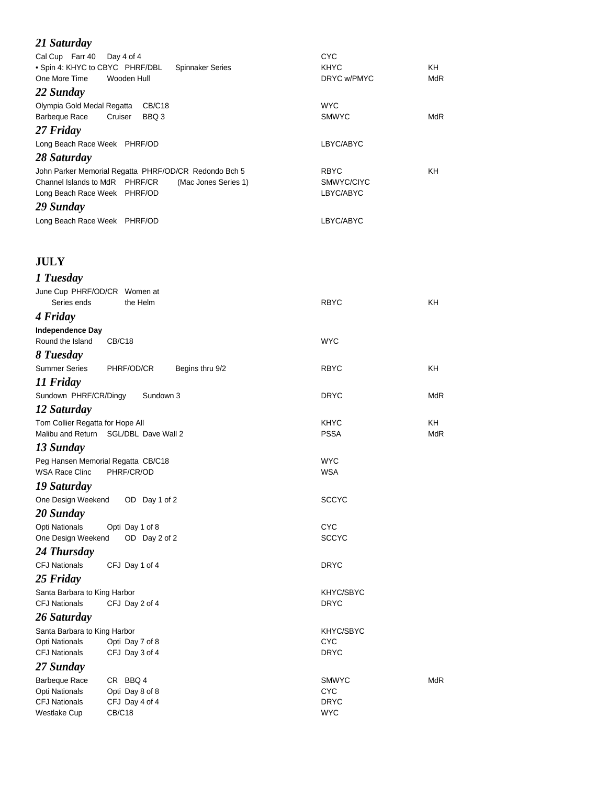| 21 Saturday                                                                                                                 |                                          |                  |
|-----------------------------------------------------------------------------------------------------------------------------|------------------------------------------|------------------|
| Cal Cup Farr 40<br>Day 4 of 4<br>. Spin 4: KHYC to CBYC PHRF/DBL<br><b>Spinnaker Series</b><br>One More Time<br>Wooden Hull | <b>CYC</b><br><b>KHYC</b><br>DRYC w/PMYC | ΚH<br><b>MdR</b> |
| 22 Sunday                                                                                                                   |                                          |                  |
| Olympia Gold Medal Regatta<br><b>CB/C18</b><br>Barbeque Race<br>BBQ 3<br>Cruiser                                            | <b>WYC</b><br><b>SMWYC</b>               | <b>MdR</b>       |
| 27 Friday                                                                                                                   |                                          |                  |
| Long Beach Race Week PHRF/OD                                                                                                | LBYC/ABYC                                |                  |
| 28 Saturday                                                                                                                 |                                          |                  |
| John Parker Memorial Regatta PHRF/OD/CR Redondo Bch 5<br>Channel Islands to MdR PHRF/CR<br>(Mac Jones Series 1)             | <b>RBYC</b><br>SMWYC/CIYC                | KΗ               |
| Long Beach Race Week PHRF/OD                                                                                                | LBYC/ABYC                                |                  |
| 29 Sunday                                                                                                                   |                                          |                  |
| Long Beach Race Week PHRF/OD                                                                                                | LBYC/ABYC                                |                  |
|                                                                                                                             |                                          |                  |
|                                                                                                                             |                                          |                  |
| <b>JULY</b>                                                                                                                 |                                          |                  |
| 1 Tuesday                                                                                                                   |                                          |                  |
| June Cup PHRF/OD/CR Women at                                                                                                |                                          |                  |
| Series ends<br>the Helm                                                                                                     | <b>RBYC</b>                              | KΗ               |
| 4 Friday                                                                                                                    |                                          |                  |
| <b>Independence Day</b><br>Round the Island<br>CB/C18                                                                       | <b>WYC</b>                               |                  |
| 8 Tuesday                                                                                                                   |                                          |                  |
| <b>Summer Series</b><br>PHRF/OD/CR<br>Begins thru 9/2                                                                       | <b>RBYC</b>                              | KΗ               |
| 11 Friday                                                                                                                   |                                          |                  |
| Sundown PHRF/CR/Dingy<br>Sundown 3                                                                                          | DRYC                                     | MdR              |
| 12 Saturday                                                                                                                 | KHYC                                     | ΚH               |
| Tom Collier Regatta for Hope All<br>Malibu and Return<br>SGL/DBL Dave Wall 2                                                | <b>PSSA</b>                              | <b>MdR</b>       |
| 13 Sunday                                                                                                                   |                                          |                  |
| Peg Hansen Memorial Regatta CB/C18                                                                                          | <b>WYC</b>                               |                  |
| <b>WSA Race Clinc</b><br>PHRF/CR/OD                                                                                         | <b>WSA</b>                               |                  |
| 19 Saturday                                                                                                                 |                                          |                  |
| One Design Weekend<br>OD Day 1 of 2                                                                                         | <b>SCCYC</b>                             |                  |
| 20 Sunday                                                                                                                   |                                          |                  |
| Opti Nationals<br>Opti Day 1 of 8<br>One Design Weekend<br>OD Day 2 of 2                                                    | <b>CYC</b><br><b>SCCYC</b>               |                  |
| 24 Thursday                                                                                                                 |                                          |                  |
| <b>CFJ Nationals</b><br>CFJ Day 1 of 4                                                                                      | <b>DRYC</b>                              |                  |
| 25 Friday                                                                                                                   |                                          |                  |
| Santa Barbara to King Harbor                                                                                                | KHYC/SBYC                                |                  |
| <b>CFJ Nationals</b><br>CFJ Day 2 of 4                                                                                      | <b>DRYC</b>                              |                  |
| 26 Saturday                                                                                                                 |                                          |                  |
| Santa Barbara to King Harbor                                                                                                | KHYC/SBYC                                |                  |
| Opti Nationals<br>Opti Day 7 of 8                                                                                           | <b>CYC</b>                               |                  |
| <b>CFJ Nationals</b><br>CFJ Day 3 of 4                                                                                      | <b>DRYC</b>                              |                  |
| 27 Sunday                                                                                                                   |                                          |                  |
| Barbeque Race<br>CR BBQ 4<br>Opti Nationals<br>Opti Day 8 of 8                                                              | <b>SMWYC</b><br><b>CYC</b>               | <b>MdR</b>       |
| <b>CFJ Nationals</b><br>CFJ Day 4 of 4                                                                                      | <b>DRYC</b>                              |                  |
| Westlake Cup<br><b>CB/C18</b>                                                                                               | <b>WYC</b>                               |                  |
|                                                                                                                             |                                          |                  |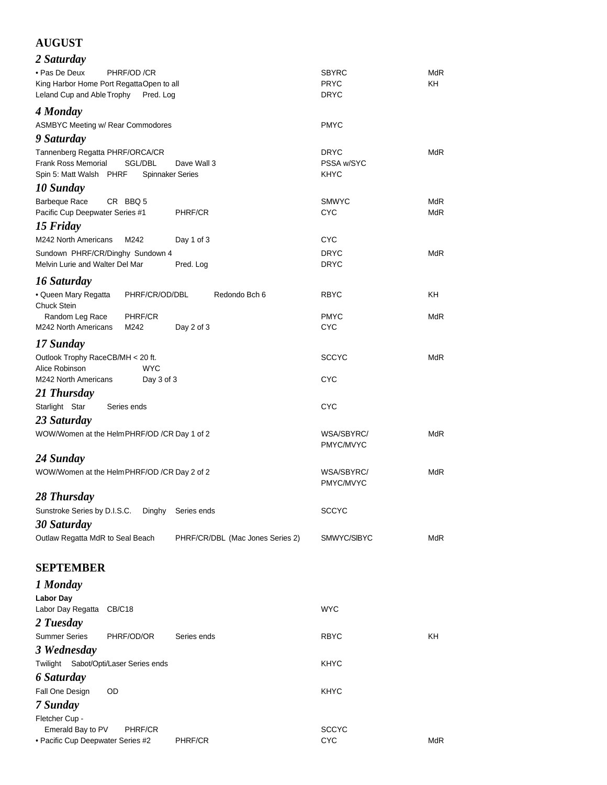#### **AUGUST**

| 2 Saturday                                                                                                 |                                  |            |
|------------------------------------------------------------------------------------------------------------|----------------------------------|------------|
| • Pas De Deux<br>PHRF/OD /CR                                                                               | SBYRC                            | <b>MdR</b> |
| King Harbor Home Port RegattaOpen to all                                                                   | <b>PRYC</b>                      | KH         |
| Leland Cup and Able Trophy<br>Pred. Log                                                                    | <b>DRYC</b>                      |            |
| 4 Monday                                                                                                   |                                  |            |
| <b>ASMBYC Meeting w/ Rear Commodores</b>                                                                   | <b>PMYC</b>                      |            |
| 9 Saturday                                                                                                 |                                  |            |
| Tannenberg Regatta PHRF/ORCA/CR                                                                            | <b>DRYC</b>                      | <b>MdR</b> |
| <b>Frank Ross Memorial</b><br>SGL/DBL<br>Dave Wall 3<br>Spin 5: Matt Walsh PHRF<br><b>Spinnaker Series</b> | <b>PSSA w/SYC</b><br><b>KHYC</b> |            |
|                                                                                                            |                                  |            |
| 10 Sunday<br><b>Barbeque Race</b><br>CR BBQ 5                                                              | <b>SMWYC</b>                     | <b>MdR</b> |
| Pacific Cup Deepwater Series #1<br><b>PHRF/CR</b>                                                          | <b>CYC</b>                       | <b>MdR</b> |
| 15 Friday                                                                                                  |                                  |            |
| M242 North Americans<br>M242<br>Day 1 of 3                                                                 | <b>CYC</b>                       |            |
| Sundown PHRF/CR/Dinghy Sundown 4                                                                           | <b>DRYC</b>                      | <b>MdR</b> |
| Melvin Lurie and Walter Del Mar<br>Pred. Log                                                               | DRYC                             |            |
| 16 Saturday                                                                                                |                                  |            |
| • Queen Mary Regatta<br>Redondo Bch 6<br>PHRF/CR/OD/DBL                                                    | <b>RBYC</b>                      | KH         |
| <b>Chuck Stein</b>                                                                                         |                                  |            |
| PHRF/CR<br>Random Leg Race                                                                                 | <b>PMYC</b>                      | <b>MdR</b> |
| M242 North Americans<br>M242<br>Day 2 of 3                                                                 | <b>CYC</b>                       |            |
| 17 Sunday                                                                                                  |                                  |            |
| Outlook Trophy RaceCB/MH < 20 ft.                                                                          | <b>SCCYC</b>                     | <b>MdR</b> |
| Alice Robinson<br><b>WYC</b>                                                                               |                                  |            |
| M242 North Americans<br>Day 3 of 3                                                                         | CYC                              |            |
| 21 Thursday                                                                                                |                                  |            |
| Starlight Star<br>Series ends                                                                              | <b>CYC</b>                       |            |
| 23 Saturday                                                                                                |                                  |            |
| WOW/Women at the HelmPHRF/OD /CR Day 1 of 2                                                                | WSA/SBYRC/<br>PMYC/MVYC          | <b>MdR</b> |
| 24 Sunday                                                                                                  |                                  |            |
| WOW/Women at the HelmPHRF/OD /CR Day 2 of 2                                                                | WSA/SBYRC/                       | <b>MdR</b> |
|                                                                                                            | PMYC/MVYC                        |            |
| 28 Thursday                                                                                                |                                  |            |
| Sunstroke Series by D.I.S.C.<br>Dinghy<br>Series ends                                                      | SCCYC                            |            |
| 30 Saturday                                                                                                |                                  |            |
| Outlaw Regatta MdR to Seal Beach<br>PHRF/CR/DBL (Mac Jones Series 2)                                       | SMWYC/SIBYC                      | MdR        |
|                                                                                                            |                                  |            |
| <b>SEPTEMBER</b>                                                                                           |                                  |            |
| 1 Monday                                                                                                   |                                  |            |
| <b>Labor Day</b>                                                                                           |                                  |            |
| Labor Day Regatta<br>CB/C18                                                                                | <b>WYC</b>                       |            |
| 2 Tuesday                                                                                                  |                                  |            |
| <b>Summer Series</b><br>PHRF/OD/OR<br>Series ends                                                          | RBYC                             | KΗ         |
| 3 Wednesday                                                                                                |                                  |            |

*6 Saturday* Fall One Design OD **KHYC** 

*7 Sunday*

Fletcher Cup - Emerald Bay to PV PHRF/CR SCCYC • Pacific Cup Deepwater Series #2 PHRF/CR CYC CYC MdR

Twilight Sabot/Opti/Laser Series ends KHYC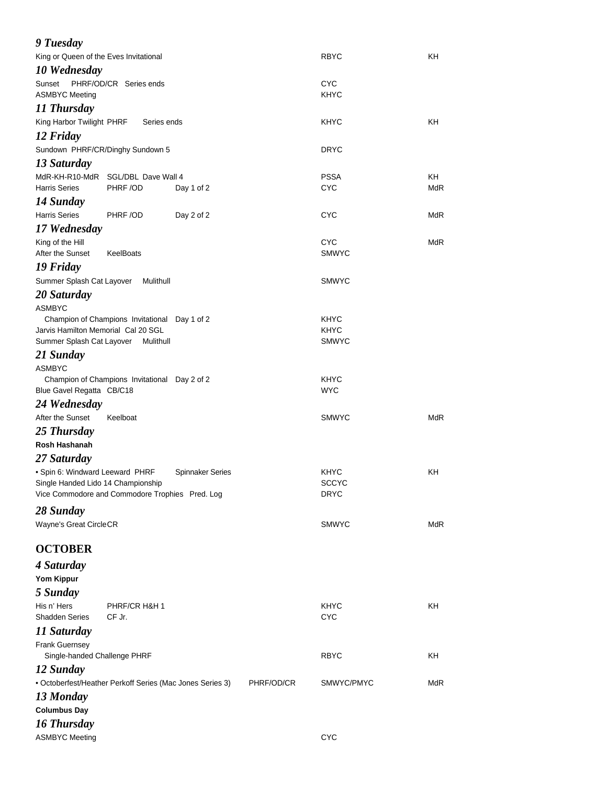| 9 Tuesday                                                                             |                                               |                         |            |                             |            |
|---------------------------------------------------------------------------------------|-----------------------------------------------|-------------------------|------------|-----------------------------|------------|
| King or Queen of the Eves Invitational                                                |                                               |                         |            | <b>RBYC</b>                 | KΗ         |
| 10 Wednesday                                                                          |                                               |                         |            |                             |            |
| Sunset                                                                                | PHRF/OD/CR Series ends                        |                         |            | <b>CYC</b>                  |            |
| <b>ASMBYC Meeting</b>                                                                 |                                               |                         |            | <b>KHYC</b>                 |            |
| 11 Thursday                                                                           |                                               |                         |            |                             |            |
| King Harbor Twilight PHRF                                                             | Series ends                                   |                         |            | KHYC                        | KΗ         |
| 12 Friday                                                                             |                                               |                         |            |                             |            |
| Sundown PHRF/CR/Dinghy Sundown 5                                                      |                                               |                         |            | DRYC                        |            |
| 13 Saturday                                                                           |                                               |                         |            |                             |            |
| MdR-KH-R10-MdR SGL/DBL Dave Wall 4                                                    |                                               |                         |            | <b>PSSA</b>                 | KH         |
| <b>Harris Series</b>                                                                  | PHRF /OD                                      | Day 1 of 2              |            | <b>CYC</b>                  | MdR        |
| 14 Sunday                                                                             |                                               |                         |            |                             |            |
| <b>Harris Series</b>                                                                  | PHRF /OD                                      | Day 2 of 2              |            | <b>CYC</b>                  | MdR        |
| 17 Wednesday                                                                          |                                               |                         |            |                             |            |
| King of the Hill                                                                      |                                               |                         |            | <b>CYC</b>                  | <b>MdR</b> |
| After the Sunset                                                                      | KeelBoats                                     |                         |            | <b>SMWYC</b>                |            |
| 19 Friday                                                                             |                                               |                         |            |                             |            |
| Summer Splash Cat Layover                                                             | Mulithull                                     |                         |            | <b>SMWYC</b>                |            |
| 20 Saturday                                                                           |                                               |                         |            |                             |            |
| <b>ASMBYC</b>                                                                         |                                               |                         |            |                             |            |
|                                                                                       | Champion of Champions Invitational Day 1 of 2 |                         |            | <b>KHYC</b>                 |            |
| Jarvis Hamilton Memorial Cal 20 SGL                                                   |                                               |                         |            | <b>KHYC</b>                 |            |
| Summer Splash Cat Layover                                                             | Mulithull                                     |                         |            | <b>SMWYC</b>                |            |
| 21 Sunday                                                                             |                                               |                         |            |                             |            |
| <b>ASMBYC</b>                                                                         |                                               |                         |            |                             |            |
| Blue Gavel Regatta CB/C18                                                             | Champion of Champions Invitational Day 2 of 2 |                         |            | <b>KHYC</b><br><b>WYC</b>   |            |
|                                                                                       |                                               |                         |            |                             |            |
| 24 Wednesday                                                                          | Keelboat                                      |                         |            |                             | <b>MdR</b> |
| After the Sunset                                                                      |                                               |                         |            | <b>SMWYC</b>                |            |
| 25 Thursday                                                                           |                                               |                         |            |                             |            |
| Rosh Hashanah                                                                         |                                               |                         |            |                             |            |
| 27 Saturday                                                                           |                                               |                         |            |                             |            |
| · Spin 6: Windward Leeward PHRF                                                       |                                               | <b>Spinnaker Series</b> |            | <b>KHYC</b>                 | KΗ         |
| Single Handed Lido 14 Championship<br>Vice Commodore and Commodore Trophies Pred. Log |                                               |                         |            | <b>SCCYC</b><br><b>DRYC</b> |            |
|                                                                                       |                                               |                         |            |                             |            |
| 28 Sunday                                                                             |                                               |                         |            |                             |            |
| Wayne's Great CircleCR                                                                |                                               |                         |            | <b>SMWYC</b>                | <b>MdR</b> |
| <b>OCTOBER</b>                                                                        |                                               |                         |            |                             |            |
| 4 Saturday                                                                            |                                               |                         |            |                             |            |
|                                                                                       |                                               |                         |            |                             |            |
| Yom Kippur                                                                            |                                               |                         |            |                             |            |
| 5 Sunday                                                                              |                                               |                         |            |                             |            |
| His n' Hers<br><b>Shadden Series</b>                                                  | PHRF/CR H&H 1<br>CF Jr.                       |                         |            | <b>KHYC</b><br><b>CYC</b>   | KH         |
|                                                                                       |                                               |                         |            |                             |            |
| 11 Saturday                                                                           |                                               |                         |            |                             |            |
| Frank Guernsey<br>Single-handed Challenge PHRF                                        |                                               |                         |            | <b>RBYC</b>                 | KH         |
| 12 Sunday                                                                             |                                               |                         |            |                             |            |
| • Octoberfest/Heather Perkoff Series (Mac Jones Series 3)                             |                                               |                         | PHRF/OD/CR | SMWYC/PMYC                  | <b>MdR</b> |
| 13 Monday                                                                             |                                               |                         |            |                             |            |
| <b>Columbus Day</b>                                                                   |                                               |                         |            |                             |            |
| 16 Thursday                                                                           |                                               |                         |            |                             |            |
| <b>ASMBYC Meeting</b>                                                                 |                                               |                         |            | <b>CYC</b>                  |            |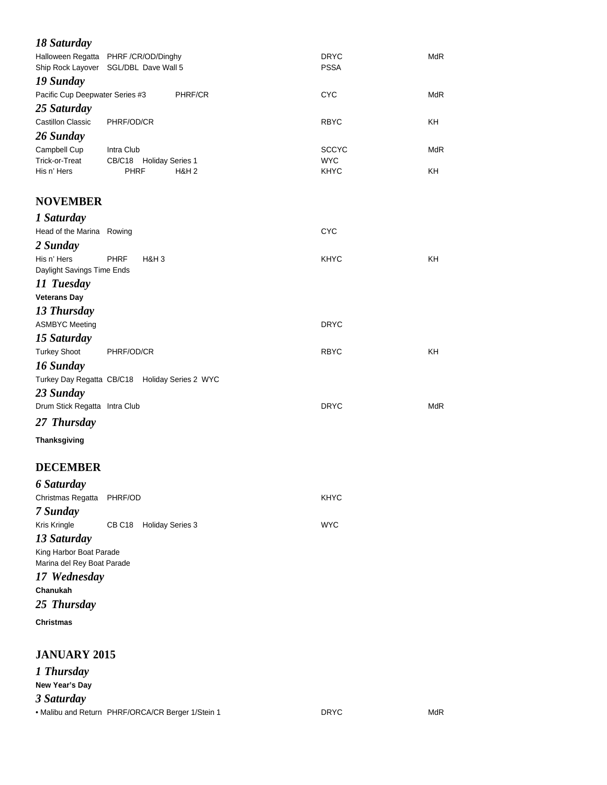| 18 Saturday                                           |                                                                               |                            |            |
|-------------------------------------------------------|-------------------------------------------------------------------------------|----------------------------|------------|
|                                                       | Halloween Regatta PHRF /CR/OD/Dinghy<br>Ship Rock Layover SGL/DBL Dave Wall 5 | <b>DRYC</b><br><b>PSSA</b> | <b>MdR</b> |
| 19 Sunday                                             |                                                                               |                            |            |
| Pacific Cup Deepwater Series #3                       | PHRF/CR                                                                       | <b>CYC</b>                 | <b>MdR</b> |
| 25 Saturday                                           |                                                                               |                            |            |
| <b>Castillon Classic</b>                              | PHRF/OD/CR                                                                    | <b>RBYC</b>                | ΚH         |
| 26 Sunday                                             |                                                                               |                            |            |
| Campbell Cup                                          | Intra Club                                                                    | <b>SCCYC</b>               | <b>MdR</b> |
| Trick-or-Treat<br>His n' Hers                         | CB/C18 Holiday Series 1<br><b>PHRF</b>                                        | <b>WYC</b>                 | KH         |
|                                                       | <b>H&amp;H2</b>                                                               | KHYC                       |            |
| <b>NOVEMBER</b>                                       |                                                                               |                            |            |
| 1 Saturday                                            |                                                                               |                            |            |
| Head of the Marina Rowing                             |                                                                               | <b>CYC</b>                 |            |
| 2 Sunday                                              |                                                                               |                            |            |
| His n' Hers                                           | <b>PHRF</b><br>H&H <sub>3</sub>                                               | KHYC                       | KH         |
| Daylight Savings Time Ends                            |                                                                               |                            |            |
| 11 Tuesday                                            |                                                                               |                            |            |
| <b>Veterans Day</b>                                   |                                                                               |                            |            |
| 13 Thursday                                           |                                                                               |                            |            |
| <b>ASMBYC Meeting</b>                                 |                                                                               | <b>DRYC</b>                |            |
| 15 Saturday                                           |                                                                               |                            |            |
| <b>Turkey Shoot</b>                                   | PHRF/OD/CR                                                                    | <b>RBYC</b>                | KH.        |
| 16 Sunday                                             |                                                                               |                            |            |
|                                                       | Turkey Day Regatta CB/C18 Holiday Series 2 WYC                                |                            |            |
| 23 Sunday                                             |                                                                               |                            |            |
| Drum Stick Regatta Intra Club                         |                                                                               | <b>DRYC</b>                | <b>MdR</b> |
| 27 Thursday                                           |                                                                               |                            |            |
| Thanksgiving                                          |                                                                               |                            |            |
| <b>DECEMBER</b>                                       |                                                                               |                            |            |
| <b>6 Saturday</b>                                     |                                                                               |                            |            |
| Christmas Regatta                                     | PHRF/OD                                                                       | KHYC                       |            |
| 7 Sunday                                              |                                                                               |                            |            |
| Kris Kringle                                          | <b>Holiday Series 3</b><br>CB C <sub>18</sub>                                 | <b>WYC</b>                 |            |
| 13 Saturday                                           |                                                                               |                            |            |
| King Harbor Boat Parade<br>Marina del Rey Boat Parade |                                                                               |                            |            |
| 17 Wednesday                                          |                                                                               |                            |            |
| Chanukah                                              |                                                                               |                            |            |
| 25 Thursday                                           |                                                                               |                            |            |
| <b>Christmas</b>                                      |                                                                               |                            |            |
| <b>JANUARY 2015</b>                                   |                                                                               |                            |            |
| 1 Thursday                                            |                                                                               |                            |            |
| New Year's Day                                        |                                                                               |                            |            |

*3 Saturday*

• Malibu and Return PHRF/ORCA/CR Berger 1/Stein 1 DRYC DRYC